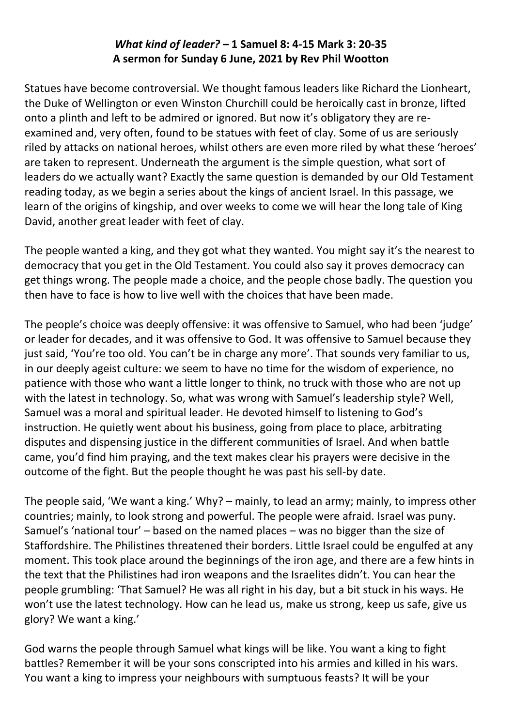## *What kind of leader? –* **1 Samuel 8: 4-15 Mark 3: 20-35 A sermon for Sunday 6 June, 2021 by Rev Phil Wootton**

Statues have become controversial. We thought famous leaders like Richard the Lionheart, the Duke of Wellington or even Winston Churchill could be heroically cast in bronze, lifted onto a plinth and left to be admired or ignored. But now it's obligatory they are reexamined and, very often, found to be statues with feet of clay. Some of us are seriously riled by attacks on national heroes, whilst others are even more riled by what these 'heroes' are taken to represent. Underneath the argument is the simple question, what sort of leaders do we actually want? Exactly the same question is demanded by our Old Testament reading today, as we begin a series about the kings of ancient Israel. In this passage, we learn of the origins of kingship, and over weeks to come we will hear the long tale of King David, another great leader with feet of clay.

The people wanted a king, and they got what they wanted. You might say it's the nearest to democracy that you get in the Old Testament. You could also say it proves democracy can get things wrong. The people made a choice, and the people chose badly. The question you then have to face is how to live well with the choices that have been made.

The people's choice was deeply offensive: it was offensive to Samuel, who had been 'judge' or leader for decades, and it was offensive to God. It was offensive to Samuel because they just said, 'You're too old. You can't be in charge any more'. That sounds very familiar to us, in our deeply ageist culture: we seem to have no time for the wisdom of experience, no patience with those who want a little longer to think, no truck with those who are not up with the latest in technology. So, what was wrong with Samuel's leadership style? Well, Samuel was a moral and spiritual leader. He devoted himself to listening to God's instruction. He quietly went about his business, going from place to place, arbitrating disputes and dispensing justice in the different communities of Israel. And when battle came, you'd find him praying, and the text makes clear his prayers were decisive in the outcome of the fight. But the people thought he was past his sell-by date.

The people said, 'We want a king.' Why? – mainly, to lead an army; mainly, to impress other countries; mainly, to look strong and powerful. The people were afraid. Israel was puny. Samuel's 'national tour' – based on the named places – was no bigger than the size of Staffordshire. The Philistines threatened their borders. Little Israel could be engulfed at any moment. This took place around the beginnings of the iron age, and there are a few hints in the text that the Philistines had iron weapons and the Israelites didn't. You can hear the people grumbling: 'That Samuel? He was all right in his day, but a bit stuck in his ways. He won't use the latest technology. How can he lead us, make us strong, keep us safe, give us glory? We want a king.'

God warns the people through Samuel what kings will be like. You want a king to fight battles? Remember it will be your sons conscripted into his armies and killed in his wars. You want a king to impress your neighbours with sumptuous feasts? It will be your